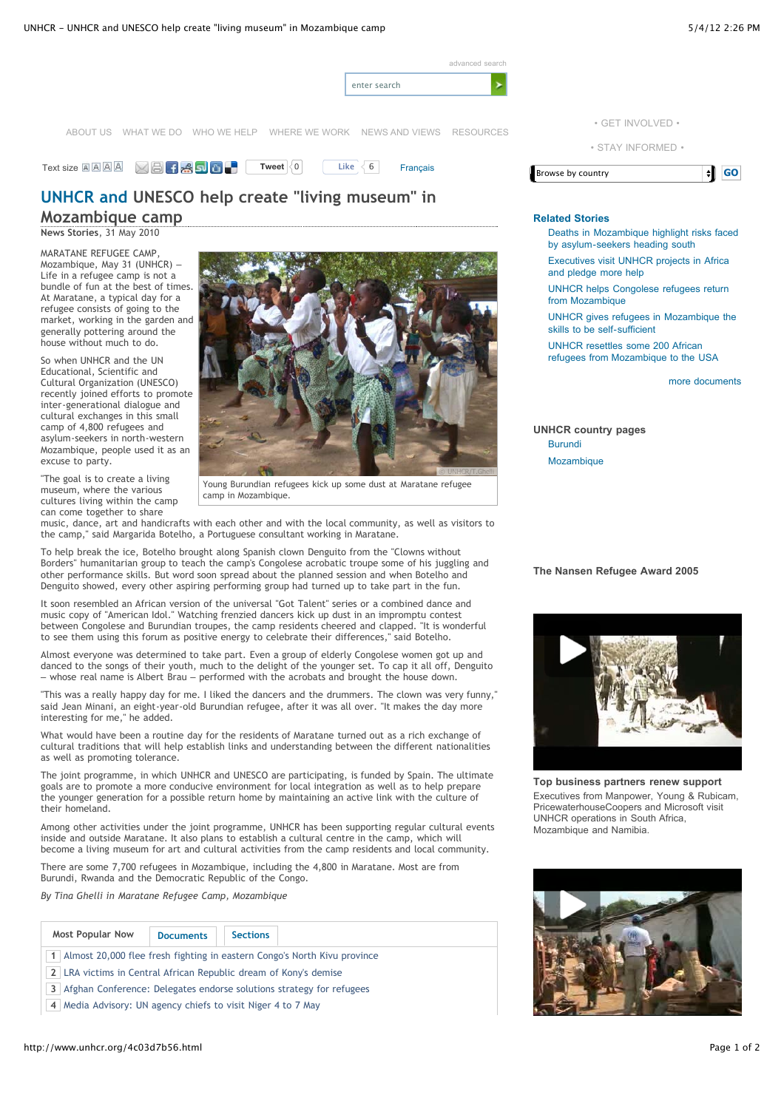

## **UNHCR and UNESCO help create "living museum" in Mozambique camp**

**News Stories**, 31 May 2010

MARATANE REFUGEE CAMP, Mozambique, May 31 (UNHCR) – Life in a refugee camp is not a bundle of fun at the best of times. At Maratane, a typical day for a refugee consists of going to the market, working in the garden and generally pottering around the house without much to do.

So when UNHCR and the UN Educational, Scientific and Cultural Organization (UNESCO) recently joined efforts to promote inter-generational dialogue and cultural exchanges in this small camp of 4,800 refugees and asylum-seekers in north-western Mozambique, people used it as an excuse to party.

"The goal is to create a living museum, where the various cultures living within the camp can come together to share



Young Burundian refugees kick up some dust at Maratane refugee camp in Mozambique.

music, dance, art and handicrafts with each other and with the local community, as well as visitors to the camp," said Margarida Botelho, a Portuguese consultant working in Maratane.

To help break the ice, Botelho brought along Spanish clown Denguito from the "Clowns without Borders" humanitarian group to teach the camp's Congolese acrobatic troupe some of his juggling and other performance skills. But word soon spread about the planned session and when Botelho and Denguito showed, every other aspiring performing group had turned up to take part in the fun.

It soon resembled an African version of the universal "Got Talent" series or a combined dance and music copy of "American Idol." Watching frenzied dancers kick up dust in an impromptu contest between Congolese and Burundian troupes, the camp residents cheered and clapped. "It is wonderful to see them using this forum as positive energy to celebrate their differences," said Botelho.

Almost everyone was determined to take part. Even a group of elderly Congolese women got up and danced to the songs of their youth, much to the delight of the younger set. To cap it all off, Denguito – whose real name is Albert Brau – performed with the acrobats and brought the house down.

"This was a really happy day for me. I liked the dancers and the drummers. The clown was very funny," said Jean Minani, an eight-year-old Burundian refugee, after it was all over. "It makes the day more interesting for me," he added.

What would have been a routine day for the residents of Maratane turned out as a rich exchange of cultural traditions that will help establish links and understanding between the different nationalities as well as promoting tolerance.

The joint programme, in which UNHCR and UNESCO are participating, is funded by Spain. The ultimate goals are to promote a more conducive environment for local integration as well as to help prepare the younger generation for a possible return home by maintaining an active link with the culture of their homeland.

Among other activities under the joint programme, UNHCR has been supporting regular cultural events inside and outside Maratane. It also plans to establish a cultural centre in the camp, which will become a living museum for art and cultural activities from the camp residents and local community.

There are some 7,700 refugees in Mozambique, including the 4,800 in Maratane. Most are from Burundi, Rwanda and the Democratic Republic of the Congo.

*By Tina Ghelli in Maratane Refugee Camp, Mozambique*

| <b>Most Popular Now</b>                                                    | <b>Documents</b> | <b>Sections</b> |  |  |  |  |  |
|----------------------------------------------------------------------------|------------------|-----------------|--|--|--|--|--|
| 1 Almost 20,000 flee fresh fighting in eastern Congo's North Kivu province |                  |                 |  |  |  |  |  |
| 2 LRA victims in Central African Republic dream of Kony's demise           |                  |                 |  |  |  |  |  |

**3** Afghan Conference: Delegates endorse solutions strategy for refugees

**4** Media Advisory: UN agency chiefs to visit Niger 4 to 7 May



## **Related Stories**

Deaths in Mozambique highlight risks faced by asylum-seekers heading south Executives visit UNHCR projects in Africa and pledge more help

UNHCR helps Congolese refugees return from Mozambique

UNHCR gives refugees in Mozambique the skills to be self-sufficient

UNHCR resettles some 200 African refugees from Mozambique to the USA

more documents

**UNHCR country pages** Burundi Mozambique

## **The Nansen Refugee Award 2005**



**Top business partners renew support** Executives from Manpower, Young & Rubicam, PricewaterhouseCoopers and Microsoft visit UNHCR operations in South Africa, Mozambique and Namibia.